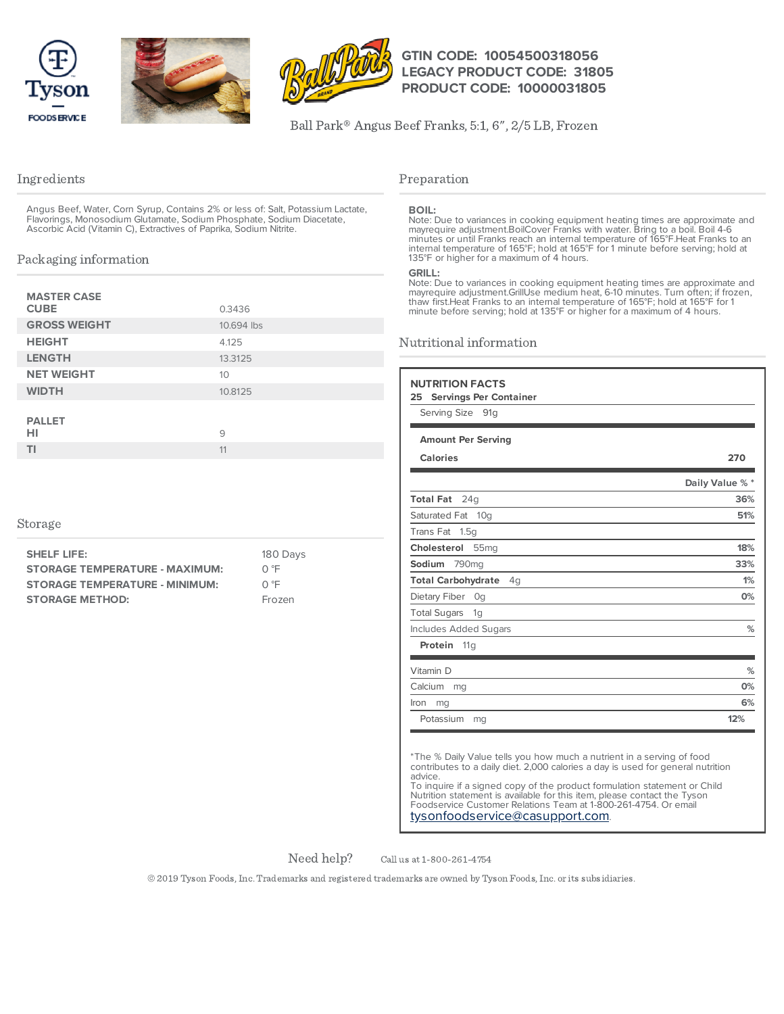





# **GTIN CODE: 10054500318056 LEGACY PRODUCT CODE: 31805 PRODUCT CODE: 10000031805**

Ball Park® Angus Beef Franks, 5:1, 6", 2/5 LB, Frozen

# Ingredients

Angus Beef, Water, Corn Syrup, Contains 2% or less of: Salt, Potassium Lactate, Flavorings, Monosodium Glutamate, Sodium Phosphate, Sodium Diacetate, Ascorbic Acid (Vitamin C), Extractives of Paprika, Sodium Nitrite.

# Packaging information

| <b>MASTER CASE</b><br><b>CUBE</b> | 0.3436     |
|-----------------------------------|------------|
| <b>GROSS WEIGHT</b>               | 10.694 lbs |
| <b>HEIGHT</b>                     | 4.125      |
| <b>LENGTH</b>                     | 13.3125    |
| <b>NET WEIGHT</b>                 | 10         |
| <b>WIDTH</b>                      | 10.8125    |
| <b>PALLET</b>                     |            |
| HI                                | 9          |
| ΤI                                | 11         |

## Storage

| <b>SHELF LIFE:</b>                    | 180 Day |
|---------------------------------------|---------|
| <b>STORAGE TEMPERATURE - MAXIMUM:</b> | ∩ °F    |
| <b>STORAGE TEMPERATURE - MINIMUM:</b> | ∩℃      |
| <b>STORAGE METHOD:</b>                | Frozen  |

# $\sqrt{S}$

# Preparation

#### **BOIL:**

Note: Due to variances in cooking equipment heating times are approximate and<br>mayrequire adjustment.BoilCover Franks with water. Bring to a boil. Boil 4-6<br>minutes or until Franks reach an internal temperature of 165°F.Heat

#### **GRILL:**

Note: Due to variances in cooking equipment heating times are approximate and mayrequire adjustment.GrillUse medium heat, 6-10 minutes. Turn often; if frozen,<br>thaw first.Heat Franks to an internal temperature of 165°F; hold at 165°F for 1<br>minute before serving; hold at 135°F or higher for a maximum

# Nutritional information

| Serving Size 91g                      |                 |
|---------------------------------------|-----------------|
| <b>Amount Per Serving</b>             |                 |
| <b>Calories</b>                       | 270             |
|                                       | Daily Value % * |
| Total Fat 24q                         | 36%             |
| Saturated Fat 10q                     | 51%             |
| Trans Fat 1.5g                        |                 |
| Cholesterol 55mg                      | 18%             |
| Sodium 790mg                          | 33%             |
| <b>Total Carbohydrate</b><br>4q       | 1%              |
| Dietary Fiber Og                      | 0%              |
| <b>Total Sugars</b><br>1 <sub>G</sub> |                 |
| <b>Includes Added Sugars</b>          | %               |
| Protein 11g                           |                 |
| Vitamin D                             | %               |
| Calcium<br>mg                         | 0%              |
| Iron<br>mg                            | 6%              |
| Potassium<br>mg                       | 12%             |

\*The % Daily Value tells you how much a nutrient in a serving of food contributes to a daily diet. 2,000 calories a day is used for general nutrition advice.

To inquire if a signed copy of the product formulation statement or Child Nutrition statement is available for this item, please contact the Tyson Foodservice Customer Relations Team at 1-800-261-4754. Or email [tysonfoodservice@casupport.com](mailto:tysonfoodservice@casupport.com).

Need help?

Call us at 1-800-261-4754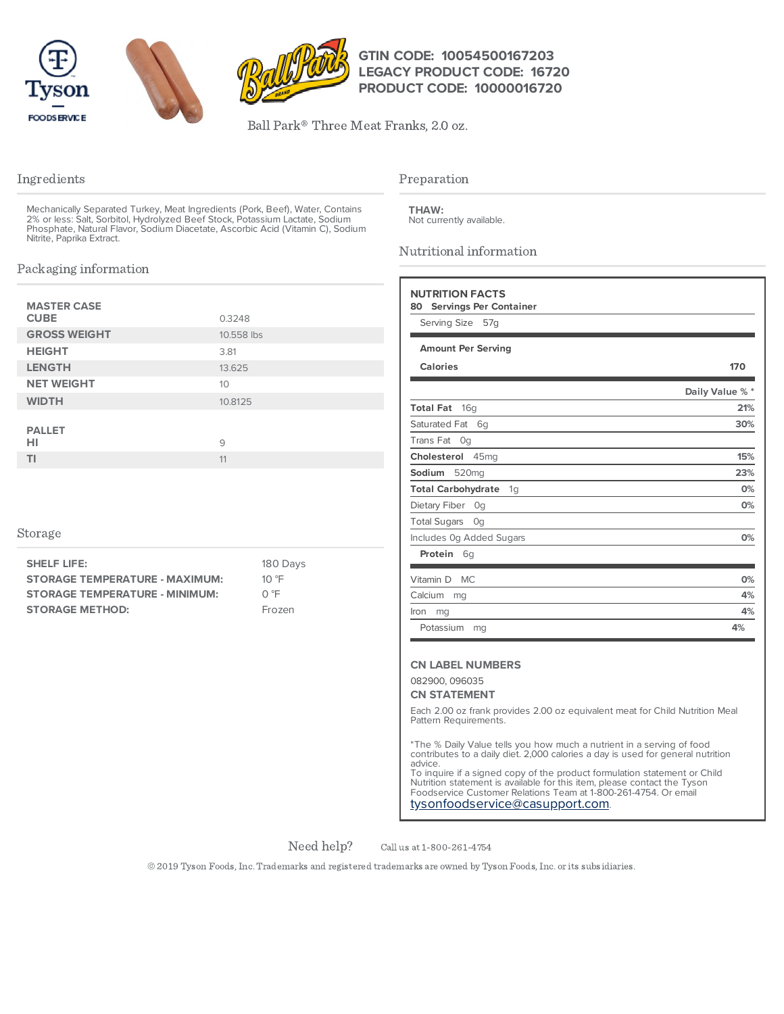



# **GTIN CODE: 10054500167203 LEGACY PRODUCT CODE: 16720 PRODUCT CODE: 10000016720**

Ball Park® Three Meat Franks, 2.0 oz.

# Ingredients

Mechanically Separated Turkey, Meat Ingredients (Pork, Beef), Water, Contains<br>2% or less: Salt, Sorbitol, Hydrolyzed Beef Stock, Potassium Lactate, Sodium<br>Phosphate, Natural Flavor, Sodium Diacetate, Ascorbic Acid (Vitamin

# Packaging information

| <b>MASTER CASE</b><br><b>CUBE</b> | 0.3248     |
|-----------------------------------|------------|
| <b>GROSS WEIGHT</b>               | 10.558 lbs |
| <b>HEIGHT</b>                     | 3.81       |
| <b>LENGTH</b>                     | 13.625     |
| <b>NET WEIGHT</b>                 | 10         |
| <b>WIDTH</b>                      | 10.8125    |
| <b>PALLET</b><br>HI               | 9          |
| ΤI                                | 11         |

## Storage

| 180 Days       |
|----------------|
| 10 $\degree$ F |
| ∩ °F           |
| Frozen         |
|                |

## Preparation

Not currently available. **THAW:**

Nutritional information

| Serving Size 57g                    |                 |
|-------------------------------------|-----------------|
| <b>Amount Per Serving</b>           |                 |
| <b>Calories</b>                     | 170             |
|                                     | Daily Value % * |
| <b>Total Fat</b><br>16 <sub>q</sub> | 21%             |
| Saturated Fat<br>6g                 | 30%             |
| <b>Trans Fat</b><br>Og              |                 |
| Cholesterol<br>45 <sub>mq</sub>     | 15%             |
| Sodium<br>520 <sub>mg</sub>         | 23%             |
| <b>Total Carbohydrate</b><br>1g     | 0%              |
| Dietary Fiber<br>Og                 | 0%              |
| <b>Total Sugars</b><br>Og           |                 |
| Includes Og Added Sugars            | 0%              |
| Protein<br>6g                       |                 |
| Vitamin D<br><b>MC</b>              | 0%              |
| Calcium<br>mg                       | 4%              |
| Iron<br>mg                          | 4%              |
| Potassium<br>mg                     | 4%              |

#### 082900, 096035

## **CN STATEMENT**

Each 2.00 oz frank provides 2.00 oz equivalent meat for Child Nutrition Meal Pattern Requirements.

\*The % Daily Value tells you how much a nutrient in a serving of food contributes to a daily diet. 2,000 calories a day is used for general nutrition advice.

To inquire if a signed copy of the product formulation statement or Child Nutrition statement is available for this item, please contact the Tyson Foodservice Customer Relations Team at 1-800-261-4754. Or email [tysonfoodservice@casupport.com](mailto:tysonfoodservice@casupport.com).

Need help?

Call us at 1-800-261-4754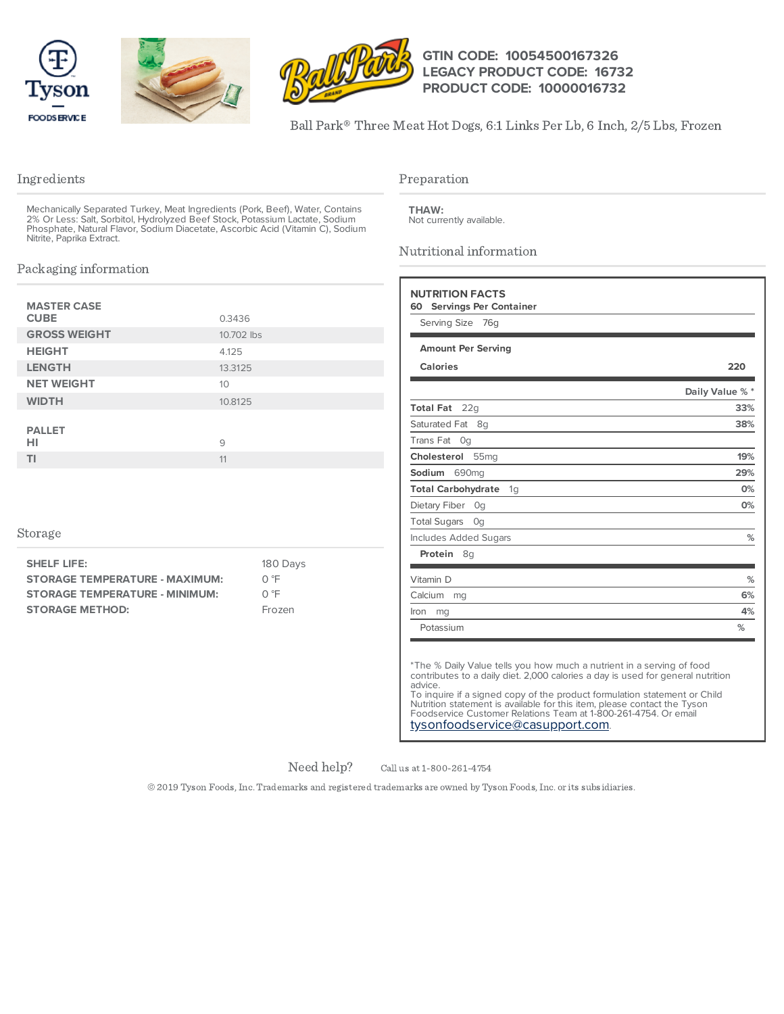





# **GTIN CODE: 10054500167326 LEGACY PRODUCT CODE: 16732 PRODUCT CODE: 10000016732**

Ball Park® Three Meat Hot Dogs, 6:1 Links Per Lb, 6 Inch, 2/5 Lbs, Frozen

# Ingredients

Mechanically Separated Turkey, Meat Ingredients (Pork, Beef), Water, Contains 2% Or Less: Salt, Sorbitol, Hydrolyzed Beef Stock, Potassium Lactate, Sodium Phosphate, Natural Flavor, Sodium Diacetate, Ascorbic Acid (Vitamin C), Sodium Nitrite, Paprika Extract.

# Packaging information

| <b>MASTER CASE</b><br><b>CUBE</b> | 0.3436     |
|-----------------------------------|------------|
| <b>GROSS WEIGHT</b>               | 10.702 lbs |
| <b>HEIGHT</b>                     | 4.125      |
| <b>LENGTH</b>                     | 13.3125    |
| <b>NET WEIGHT</b>                 | 10         |
| <b>WIDTH</b>                      | 10.8125    |
| <b>PALLET</b><br>HI               | 9          |
| ΤI                                | 11         |

## Storage

| <b>SHELF LIFE:</b>                    | 180 Days |
|---------------------------------------|----------|
| <b>STORAGE TEMPERATURE - MAXIMUM:</b> | ∩ °F     |
| <b>STORAGE TEMPERATURE - MINIMUM:</b> | ∩ °F     |
| <b>STORAGE METHOD:</b>                | Frozen   |
|                                       |          |

# Preparation

Not currently available. **THAW:**

Nutritional information

| Serving Size<br>76g             |                 |
|---------------------------------|-----------------|
| <b>Amount Per Serving</b>       |                 |
| <b>Calories</b>                 | 220             |
|                                 | Daily Value % * |
| <b>Total Fat</b><br>22q         | 33%             |
| Saturated Fat 8q                | 38%             |
| Trans Fat<br>0q                 |                 |
| Cholesterol<br>55 <sub>mg</sub> | 19%             |
| Sodium<br>690mg                 | 29%             |
| <b>Total Carbohydrate</b><br>1g | 0%              |
| Dietary Fiber<br>Og             | 0%              |
| <b>Total Sugars</b><br>Og       |                 |
| <b>Includes Added Sugars</b>    | %               |
| Protein<br>8g                   |                 |
| Vitamin D                       | %               |
| Calcium<br>mg                   | 6%              |
| Iron<br>mg                      | 4%              |
| Potassium                       | %               |

\*The % Daily Value tells you how much a nutrient in a serving of food contributes to a daily diet. 2,000 calories a day is used for general nutrition advice.

To inquire if a signed copy of the product formulation statement or Child Nutrition statement is available for this item, please contact the Tyson Foodservice Customer Relations Team at 1-800-261-4754. Or email [tysonfoodservice@casupport.com](mailto:tysonfoodservice@casupport.com).

Need help?

Call us at 1-800-261-4754